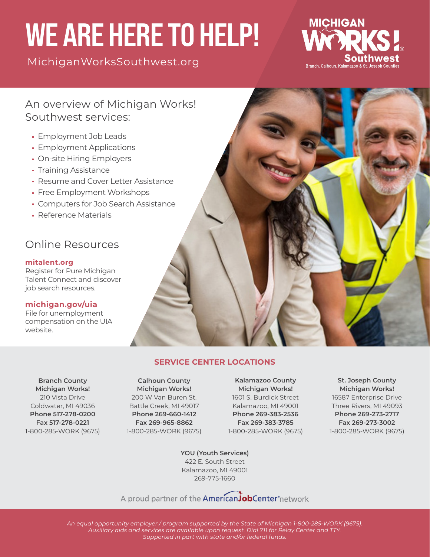# WE ARE HERE TO HELP!

[MichiganWorksSouthwest.org](https://www.michiganworkssouthwest.org/)



## An overview of Michigan Works! Southwest services:

- Employment Job Leads
- Employment Applications
- On-site Hiring Employers
- Training Assistance
- Resume and Cover Letter Assistance
- Free Employment Workshops
- Computers for Job Search Assistance
- Reference Materials

# Online Resources

#### **[mitalent.org](https://www.mitalent.org/)**

Register for Pure Michigan Talent Connect and discover job search resources.

#### **[michigan.gov/uia](https://www.michigan.gov/leo/0,5863,7-336-94422_97241---,00.html)**

File for unemployment compensation on the UIA website.



**Branch County Michigan Works!** 210 Vista Drive Coldwater, MI 49036 **Phone 517-278-0200 Fax 517-278-0221** 1-800-285-WORK (9675)

**Calhoun County Michigan Works!** 200 W Van Buren St. Battle Creek, MI 49017 **Phone 269-660-1412 Fax 269-965-8862** 1-800-285-WORK (9675)

**Kalamazoo County Michigan Works!** 1601 S. Burdick Street Kalamazoo, MI 49001 **Phone 269-383-2536 Fax 269-383-3785** 1-800-285-WORK (9675)

**St. Joseph County Michigan Works!** 16587 Enterprise Drive Three Rivers, MI 49093 **Phone 269-273-2717 Fax 269-273-3002** 1-800-285-WORK (9675)

**YOU (Youth Services)** 422 E. South Street Kalamazoo, MI 49001 269-775-1660

A proud partner of the American JobCenter°network

*An equal opportunity employer / program supported by the State of Michigan 1-800-285-WORK (9675). Auxiliary aids and services are available upon request. Dial 711 for Relay Center and TTY. Supported in part with state and/or federal funds.*